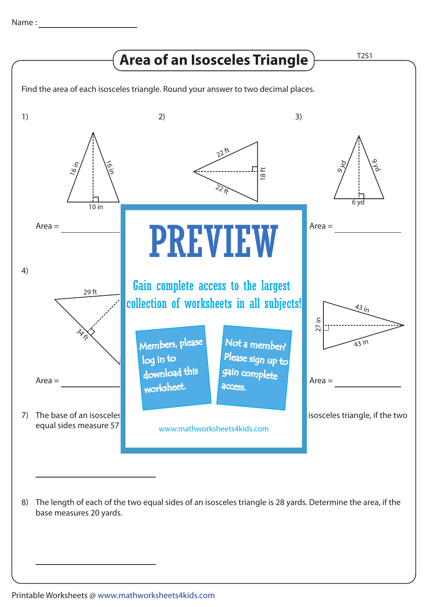